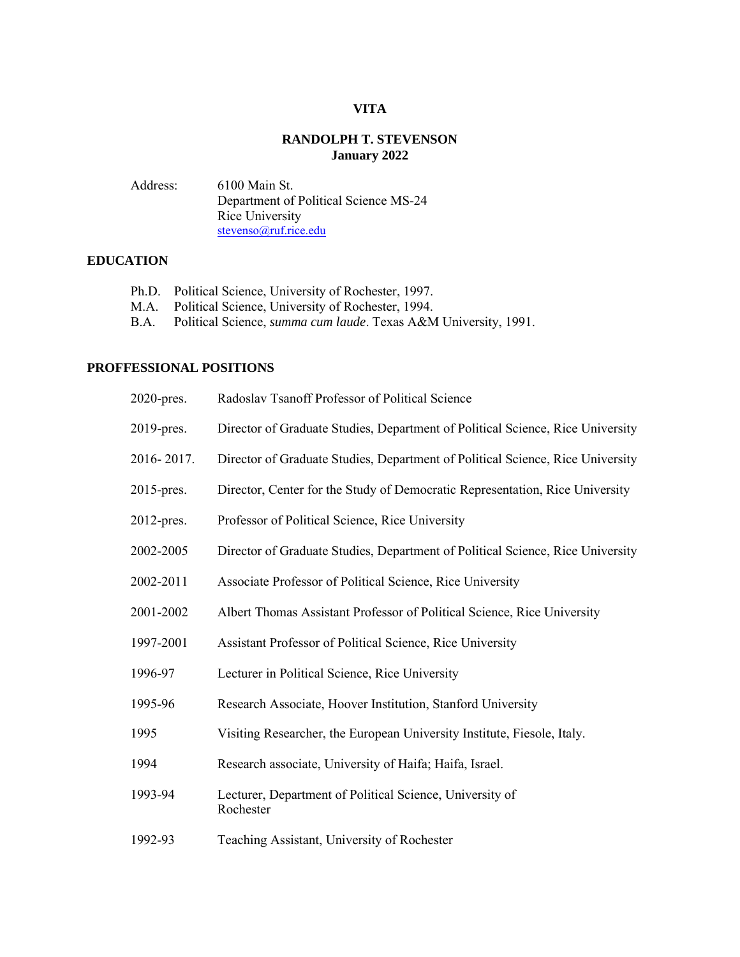# **VITA**

# **RANDOLPH T. STEVENSON January 2022**

Address: 6100 Main St. Department of Political Science MS-24 Rice University [stevenso@ruf.rice.edu](mailto:stevenso@ruf.rice.edu)

# **EDUCATION**

- Ph.D. Political Science, University of Rochester, 1997.
- M.A. Political Science, University of Rochester, 1994.<br>B.A. Political Science, *summa cum laude*. Texas A&N
- Political Science, *summa cum laude*. Texas A&M University, 1991.

#### **PROFFESSIONAL POSITIONS**

| 2020-pres. | Radoslav Tsanoff Professor of Political Science                                |
|------------|--------------------------------------------------------------------------------|
| 2019-pres. | Director of Graduate Studies, Department of Political Science, Rice University |
| 2016-2017. | Director of Graduate Studies, Department of Political Science, Rice University |
| 2015-pres. | Director, Center for the Study of Democratic Representation, Rice University   |
| 2012-pres. | Professor of Political Science, Rice University                                |
| 2002-2005  | Director of Graduate Studies, Department of Political Science, Rice University |
| 2002-2011  | Associate Professor of Political Science, Rice University                      |
| 2001-2002  | Albert Thomas Assistant Professor of Political Science, Rice University        |
| 1997-2001  | Assistant Professor of Political Science, Rice University                      |
| 1996-97    | Lecturer in Political Science, Rice University                                 |
| 1995-96    | Research Associate, Hoover Institution, Stanford University                    |
| 1995       | Visiting Researcher, the European University Institute, Fiesole, Italy.        |
| 1994       | Research associate, University of Haifa; Haifa, Israel.                        |
| 1993-94    | Lecturer, Department of Political Science, University of<br>Rochester          |
| 1002.02    | $\mathbf{m}$ is a substantial form in                                          |

1992-93 Teaching Assistant, University of Rochester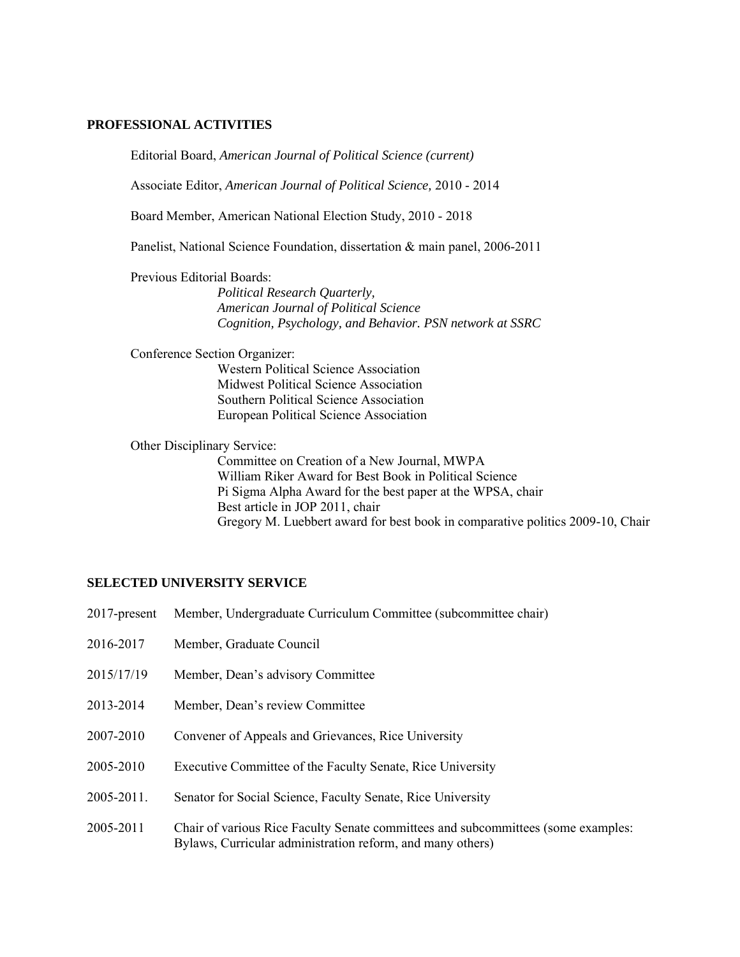#### **PROFESSIONAL ACTIVITIES**

Editorial Board, *American Journal of Political Science (current)*

Associate Editor, *American Journal of Political Science,* 2010 - 2014

Board Member, American National Election Study, 2010 - 2018

Panelist, National Science Foundation, dissertation & main panel, 2006-2011

Previous Editorial Boards:

*Political Research Quarterly, American Journal of Political Science Cognition, Psychology, and Behavior. PSN network at SSRC*

Conference Section Organizer:

Western Political Science Association Midwest Political Science Association Southern Political Science Association European Political Science Association

Other Disciplinary Service:

Committee on Creation of a New Journal, MWPA William Riker Award for Best Book in Political Science Pi Sigma Alpha Award for the best paper at the WPSA, chair Best article in JOP 2011, chair Gregory M. Luebbert award for best book in comparative politics 2009-10, Chair

#### **SELECTED UNIVERSITY SERVICE**

| $2017$ -present | Member, Undergraduate Curriculum Committee (subcommittee chair)                                                                                 |
|-----------------|-------------------------------------------------------------------------------------------------------------------------------------------------|
| 2016-2017       | Member, Graduate Council                                                                                                                        |
| 2015/17/19      | Member, Dean's advisory Committee                                                                                                               |
| 2013-2014       | Member, Dean's review Committee                                                                                                                 |
| 2007-2010       | Convener of Appeals and Grievances, Rice University                                                                                             |
| 2005-2010       | Executive Committee of the Faculty Senate, Rice University                                                                                      |
| 2005-2011.      | Senator for Social Science, Faculty Senate, Rice University                                                                                     |
| 2005-2011       | Chair of various Rice Faculty Senate committees and subcommittees (some examples:<br>Bylaws, Curricular administration reform, and many others) |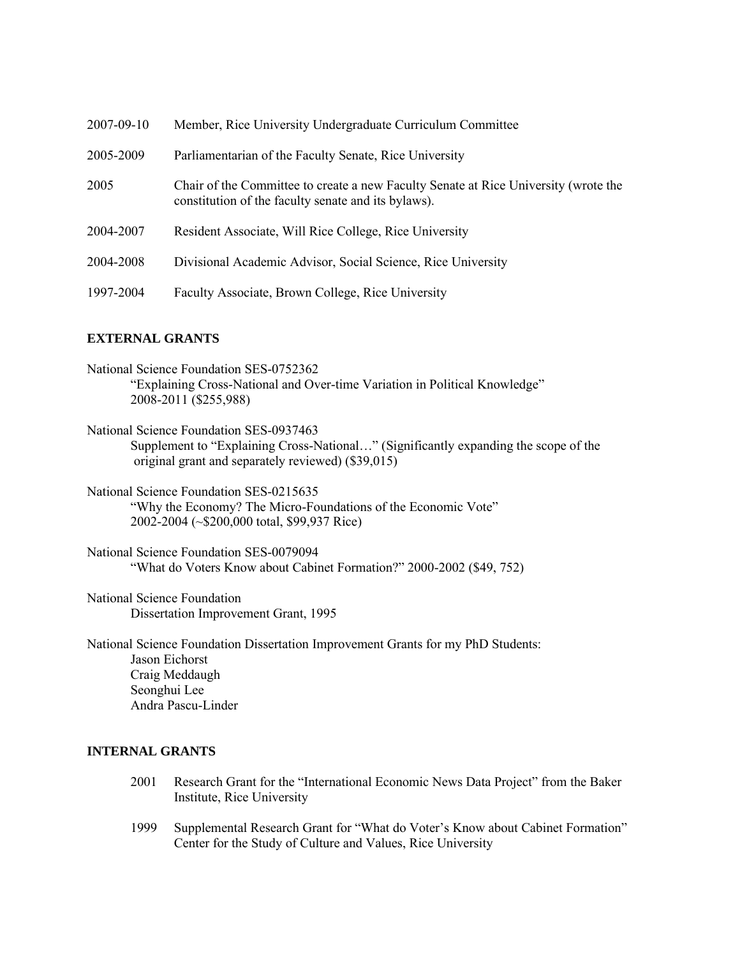| 2007-09-10 | Member, Rice University Undergraduate Curriculum Committee                                                                                 |
|------------|--------------------------------------------------------------------------------------------------------------------------------------------|
| 2005-2009  | Parliamentarian of the Faculty Senate, Rice University                                                                                     |
| 2005       | Chair of the Committee to create a new Faculty Senate at Rice University (wrote the<br>constitution of the faculty senate and its bylaws). |
| 2004-2007  | Resident Associate, Will Rice College, Rice University                                                                                     |
| 2004-2008  | Divisional Academic Advisor, Social Science, Rice University                                                                               |
| 1997-2004  | Faculty Associate, Brown College, Rice University                                                                                          |

#### **EXTERNAL GRANTS**

| National Science Foundation SES-0752362                                    |  |
|----------------------------------------------------------------------------|--|
| "Explaining Cross-National and Over-time Variation in Political Knowledge" |  |
| 2008-2011 (\$255,988)                                                      |  |

National Science Foundation SES-0937463 Supplement to "Explaining Cross-National…" (Significantly expanding the scope of the original grant and separately reviewed) (\$39,015)

National Science Foundation SES-0215635 "Why the Economy? The Micro-Foundations of the Economic Vote" 2002-2004 (~\$200,000 total, \$99,937 Rice)

National Science Foundation SES-0079094 "What do Voters Know about Cabinet Formation?" 2000-2002 (\$49, 752)

National Science Foundation Dissertation Improvement Grant, 1995

National Science Foundation Dissertation Improvement Grants for my PhD Students: Jason Eichorst Craig Meddaugh Seonghui Lee Andra Pascu-Linder

### **INTERNAL GRANTS**

- 2001 Research Grant for the "International Economic News Data Project" from the Baker Institute, Rice University
- 1999 Supplemental Research Grant for "What do Voter's Know about Cabinet Formation" Center for the Study of Culture and Values, Rice University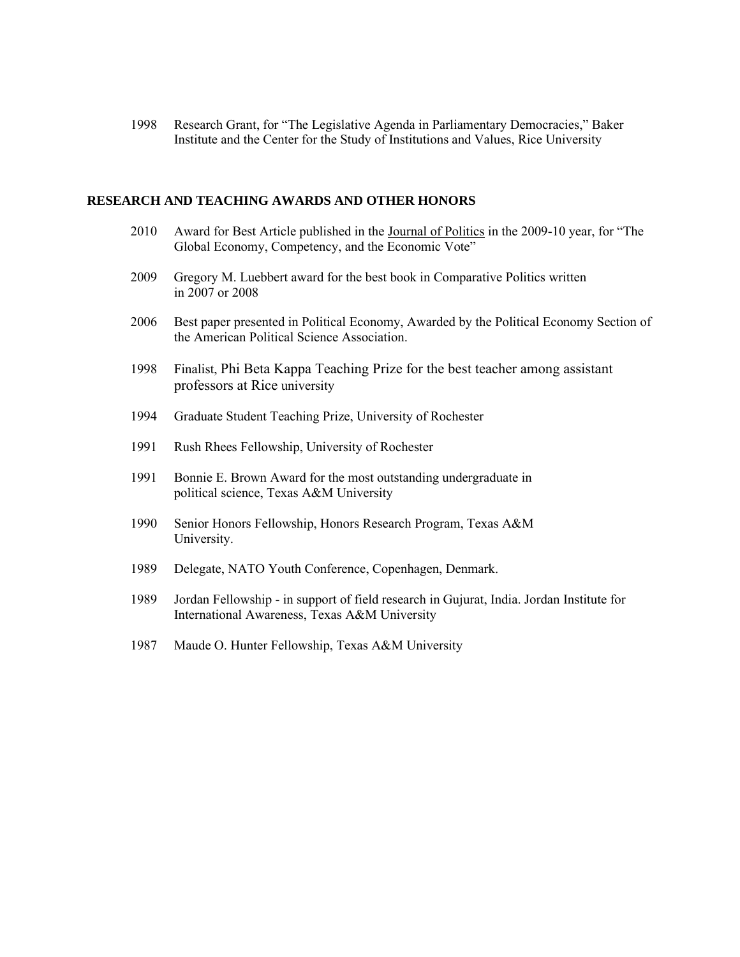1998 Research Grant, for "The Legislative Agenda in Parliamentary Democracies," Baker Institute and the Center for the Study of Institutions and Values, Rice University

#### **RESEARCH AND TEACHING AWARDS AND OTHER HONORS**

- 2010 Award for Best Article published in the Journal of Politics in the 2009-10 year, for "The Global Economy, Competency, and the Economic Vote"
- 2009Gregory M. Luebbert award for the best book in Comparative Politics written in 2007 or 2008
- 2006 Best paper presented in Political Economy, Awarded by the Political Economy Section of the American Political Science Association.
- 1998 Finalist, Phi Beta Kappa Teaching Prize for the best teacher among assistant professors at Rice university
- 1994 Graduate Student Teaching Prize, University of Rochester
- 1991 Rush Rhees Fellowship, University of Rochester
- 1991 Bonnie E. Brown Award for the most outstanding undergraduate in political science, Texas A&M University
- 1990 Senior Honors Fellowship, Honors Research Program, Texas A&M University.
- 1989 Delegate, NATO Youth Conference, Copenhagen, Denmark.
- 1989 Jordan Fellowship in support of field research in Gujurat, India. Jordan Institute for International Awareness, Texas A&M University
- 1987 Maude O. Hunter Fellowship, Texas A&M University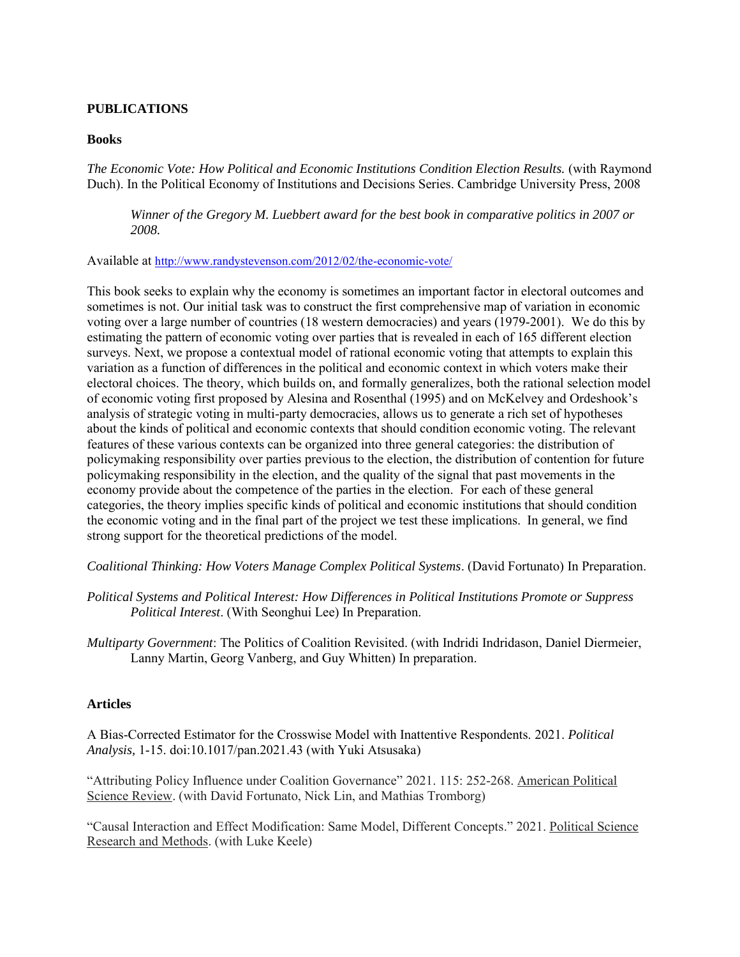# **PUBLICATIONS**

#### **Books**

*The Economic Vote: How Political and Economic Institutions Condition Election Results.* (with Raymond Duch). In the Political Economy of Institutions and Decisions Series. Cambridge University Press, 2008

*Winner of the Gregory M. Luebbert award for the best book in comparative politics in 2007 or 2008.*

#### Available at <http://www.randystevenson.com/2012/02/the-economic-vote/>

This book seeks to explain why the economy is sometimes an important factor in electoral outcomes and sometimes is not. Our initial task was to construct the first comprehensive map of variation in economic voting over a large number of countries (18 western democracies) and years (1979-2001). We do this by estimating the pattern of economic voting over parties that is revealed in each of 165 different election surveys. Next, we propose a contextual model of rational economic voting that attempts to explain this variation as a function of differences in the political and economic context in which voters make their electoral choices. The theory, which builds on, and formally generalizes, both the rational selection model of economic voting first proposed by Alesina and Rosenthal (1995) and on McKelvey and Ordeshook's analysis of strategic voting in multi-party democracies, allows us to generate a rich set of hypotheses about the kinds of political and economic contexts that should condition economic voting. The relevant features of these various contexts can be organized into three general categories: the distribution of policymaking responsibility over parties previous to the election, the distribution of contention for future policymaking responsibility in the election, and the quality of the signal that past movements in the economy provide about the competence of the parties in the election. For each of these general categories, the theory implies specific kinds of political and economic institutions that should condition the economic voting and in the final part of the project we test these implications. In general, we find strong support for the theoretical predictions of the model.

*Coalitional Thinking: How Voters Manage Complex Political Systems*. (David Fortunato) In Preparation.

*Political Systems and Political Interest: How Differences in Political Institutions Promote or Suppress Political Interest*. (With Seonghui Lee) In Preparation.

*Multiparty Government*: The Politics of Coalition Revisited. (with Indridi Indridason, Daniel Diermeier, Lanny Martin, Georg Vanberg, and Guy Whitten) In preparation.

### **Articles**

A Bias-Corrected Estimator for the Crosswise Model with Inattentive Respondents. 2021. *Political Analysis,* 1-15. doi:10.1017/pan.2021.43 (with Yuki Atsusaka)

"Attributing Policy Influence under Coalition Governance" 2021. 115: 252-268. American Political Science Review. (with David Fortunato, Nick Lin, and Mathias Tromborg)

"Causal Interaction and Effect Modification: Same Model, Different Concepts." 2021. Political Science Research and Methods. (with Luke Keele)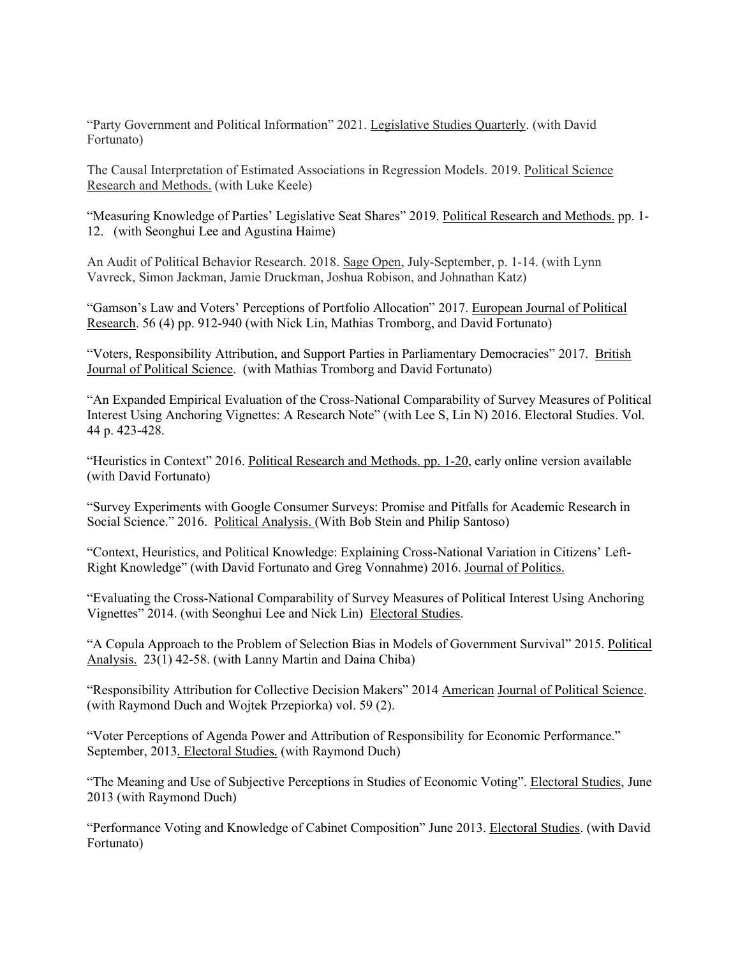"Party Government and Political Information" 2021. Legislative Studies Quarterly. (with David Fortunato)

The Causal Interpretation of Estimated Associations in Regression Models. 2019. Political Science Research and Methods. (with Luke Keele)

"Measuring Knowledge of Parties' Legislative Seat Shares" 2019. Political Research and Methods. pp. 1- 12. (with Seonghui Lee and Agustina Haime)

An Audit of Political Behavior Research. 2018. Sage Open, July-September, p. 1-14. (with Lynn Vavreck, Simon Jackman, Jamie Druckman, Joshua Robison, and Johnathan Katz)

"Gamson's Law and Voters' Perceptions of Portfolio Allocation" 2017. European Journal of Political Research. 56 (4) pp. 912-940 (with Nick Lin, Mathias Tromborg, and David Fortunato)

"Voters, Responsibility Attribution, and Support Parties in Parliamentary Democracies" 2017. British Journal of Political Science. (with Mathias Tromborg and David Fortunato)

"An Expanded Empirical Evaluation of the Cross-National Comparability of Survey Measures of Political Interest Using Anchoring Vignettes: A Research Note" (with Lee S, Lin N) 2016. Electoral Studies. Vol. 44 p. 423-428.

"Heuristics in Context" 2016. Political Research and Methods. pp. 1-20, early online version available (with David Fortunato)

"Survey Experiments with Google Consumer Surveys: Promise and Pitfalls for Academic Research in Social Science." 2016. Political Analysis. (With Bob Stein and Philip Santoso)

"Context, Heuristics, and Political Knowledge: Explaining Cross-National Variation in Citizens' Left-Right Knowledge" (with David Fortunato and Greg Vonnahme) 2016. Journal of Politics.

"Evaluating the Cross-National Comparability of Survey Measures of Political Interest Using Anchoring Vignettes" 2014. (with Seonghui Lee and Nick Lin) Electoral Studies.

"A Copula Approach to the Problem of Selection Bias in Models of Government Survival" 2015. Political Analysis. 23(1) 42-58. (with Lanny Martin and Daina Chiba)

"Responsibility Attribution for Collective Decision Makers" 2014 American Journal of Political Science. (with Raymond Duch and Wojtek Przepiorka) vol. 59 (2).

"Voter Perceptions of Agenda Power and Attribution of Responsibility for Economic Performance." September, 2013*.* Electoral Studies*.* (with Raymond Duch)

"The Meaning and Use of Subjective Perceptions in Studies of Economic Voting". Electoral Studies, June 2013 (with Raymond Duch)

"Performance Voting and Knowledge of Cabinet Composition" June 2013. Electoral Studies. (with David Fortunato)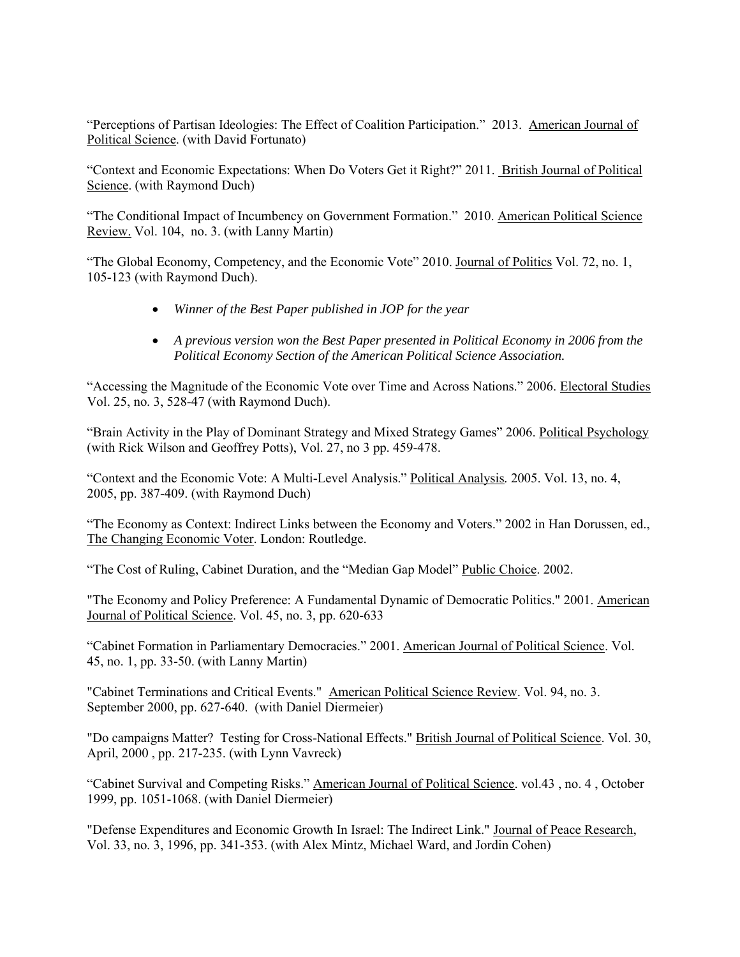"Perceptions of Partisan Ideologies: The Effect of Coalition Participation." 2013. American Journal of Political Science. (with David Fortunato)

"Context and Economic Expectations: When Do Voters Get it Right?" 2011. British Journal of Political Science. (with Raymond Duch)

"The Conditional Impact of Incumbency on Government Formation." 2010. American Political Science Review. Vol. 104, no. 3. (with Lanny Martin)

"The Global Economy, Competency, and the Economic Vote" 2010. Journal of Politics Vol. 72, no. 1, 105-123 (with Raymond Duch).

- *Winner of the Best Paper published in JOP for the year*
- *A previous version won the Best Paper presented in Political Economy in 2006 from the Political Economy Section of the American Political Science Association.*

"Accessing the Magnitude of the Economic Vote over Time and Across Nations." 2006. Electoral Studies Vol. 25, no. 3, 528-47 (with Raymond Duch).

"Brain Activity in the Play of Dominant Strategy and Mixed Strategy Games" 2006. Political Psychology (with Rick Wilson and Geoffrey Potts), Vol. 27, no 3 pp. 459-478.

"Context and the Economic Vote: A Multi-Level Analysis." Political Analysis*.* 2005. Vol. 13, no. 4, 2005, pp. 387-409. (with Raymond Duch)

"The Economy as Context: Indirect Links between the Economy and Voters." 2002 in Han Dorussen, ed., The Changing Economic Voter. London: Routledge.

"The Cost of Ruling, Cabinet Duration, and the "Median Gap Model" Public Choice. 2002.

"The Economy and Policy Preference: A Fundamental Dynamic of Democratic Politics." 2001. American Journal of Political Science. Vol. 45, no. 3, pp. 620-633

"Cabinet Formation in Parliamentary Democracies." 2001. American Journal of Political Science. Vol. 45, no. 1, pp. 33-50. (with Lanny Martin)

"Cabinet Terminations and Critical Events." American Political Science Review. Vol. 94, no. 3. September 2000, pp. 627-640. (with Daniel Diermeier)

"Do campaigns Matter? Testing for Cross-National Effects." British Journal of Political Science. Vol. 30, April, 2000 , pp. 217-235. (with Lynn Vavreck)

"Cabinet Survival and Competing Risks." American Journal of Political Science. vol.43 , no. 4 , October 1999, pp. 1051-1068. (with Daniel Diermeier)

"Defense Expenditures and Economic Growth In Israel: The Indirect Link." Journal of Peace Research, Vol. 33, no. 3, 1996, pp. 341-353. (with Alex Mintz, Michael Ward, and Jordin Cohen)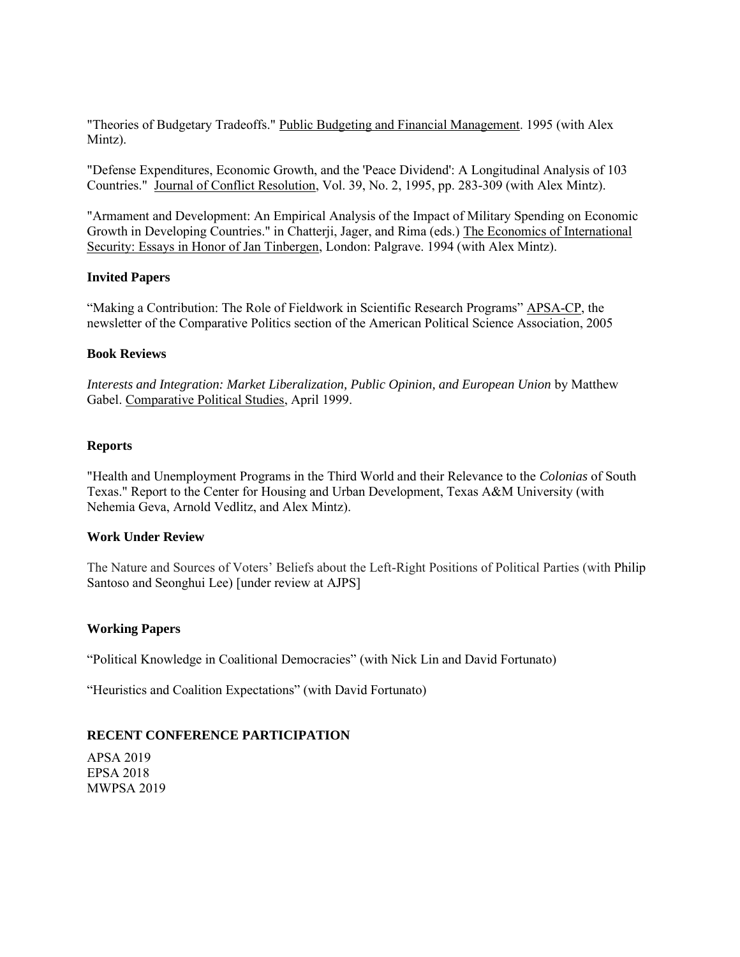"Theories of Budgetary Tradeoffs." Public Budgeting and Financial Management. 1995 (with Alex Mintz).

"Defense Expenditures, Economic Growth, and the 'Peace Dividend': A Longitudinal Analysis of 103 Countries." Journal of Conflict Resolution, Vol. 39, No. 2, 1995, pp. 283-309 (with Alex Mintz).

"Armament and Development: An Empirical Analysis of the Impact of Military Spending on Economic Growth in Developing Countries." in Chatterji, Jager, and Rima (eds.) The Economics of International Security: Essays in Honor of Jan Tinbergen, London: Palgrave. 1994 (with Alex Mintz).

#### **Invited Papers**

"Making a Contribution: The Role of Fieldwork in Scientific Research Programs" APSA-CP, the newsletter of the Comparative Politics section of the American Political Science Association, 2005

#### **Book Reviews**

*Interests and Integration: Market Liberalization, Public Opinion, and European Union* by Matthew Gabel. Comparative Political Studies, April 1999.

#### **Reports**

"Health and Unemployment Programs in the Third World and their Relevance to the *Colonias* of South Texas." Report to the Center for Housing and Urban Development, Texas A&M University (with Nehemia Geva, Arnold Vedlitz, and Alex Mintz).

### **Work Under Review**

The Nature and Sources of Voters' Beliefs about the Left-Right Positions of Political Parties (with Philip Santoso and Seonghui Lee) [under review at AJPS]

### **Working Papers**

"Political Knowledge in Coalitional Democracies" (with Nick Lin and David Fortunato)

"Heuristics and Coalition Expectations" (with David Fortunato)

### **RECENT CONFERENCE PARTICIPATION**

APSA 2019 EPSA 2018 MWPSA 2019